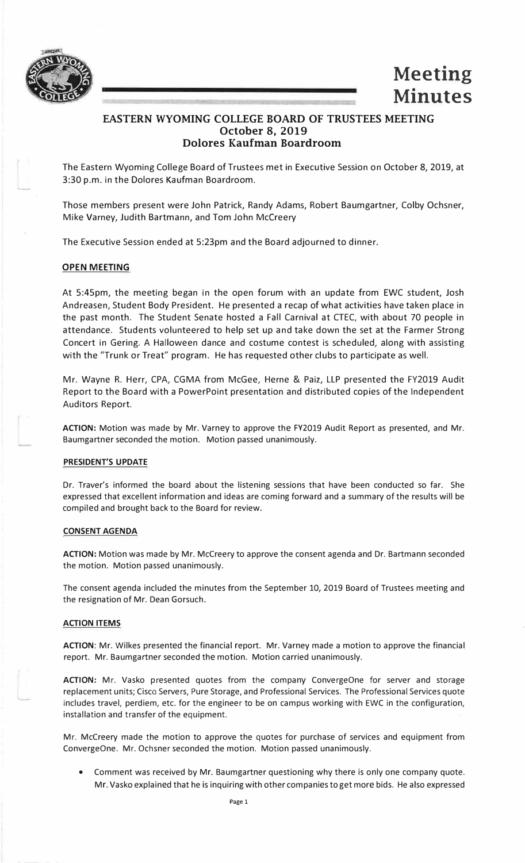

....\_



# **EASTERN WYOMING COLLEGE BOARD OF TRUSTEES MEETING October 8, 2019 Dolores Kaufman Boardroom**

The Eastern Wyoming College Board of Trustees met in Executive Session on October 8, 2019, at 3:30 p.m. in the Dolores Kaufman Boardroom.

Those members present were John Patrick, Randy Adams, Robert Baumgartner, Colby Ochsner, Mike Varney, Judith Bartmann, and Tom John Mccreery

The Executive Session ended at 5:23pm and the Board adjourned to dinner.

# **OPEN MEETING**

At 5:45pm, the meeting began in the open forum with an update from EWC student, Josh Andreasen, Student Body President. He presented a recap of what activities have taken place in the past month. The Student Senate hosted a Fall Carnival at CTEC, with about 70 people in attendance. Students volunteered to help set up and take down the set at the Farmer Strong Concert in Gering. A Halloween dance and costume contest is scheduled, along with assisting with the "Trunk or Treat" program. He has requested other clubs to participate as well.

Mr. Wayne R. Herr, CPA, CGMA from McGee, Herne & Paiz, LLP presented the FY2019 Audit Report to the Board with a PowerPoint presentation and distributed copies of the Independent Auditors Report.

**ACTION:** Motion was made by Mr. Varney to approve the FY2019 Audit Report as presented, and Mr. Baumgartner seconded the motion. Motion passed unanimously.

# **PRESIDENT'S UPDATE**

Dr. Traver's informed the board about the listening sessions that have been conducted so far. She expressed that excellent information and ideas are coming forward and a summary of the results will be compiled and brought back to the Board for review.

# **CONSENT AGENDA**

**ACTION:** Motion was made by Mr. Mccreery to approve the consent agenda and Dr. Bartmann seconded the motion. Motion passed unanimously.

The consent agenda included the minutes from the September 10, 2019 Board of Trustees meeting and the resignation of Mr. Dean Gorsuch.

### **ACTION ITEMS**

**ACTION:** Mr. Wilkes presented the financial report. Mr. Varney made a motion to approve the financial report. Mr. Baumgartner seconded the motion. Motion carried unanimously.

**ACTION:** Mr. Vasko presented quotes from the company ConvergeOne for server and storage replacement units; Cisco Servers, Pure Storage, and Professional Services. The Professional Services quote includes travel, perdiem, etc. for the engineer to be on campus working with EWC in the configuration, installation and transfer of the equipment.

Mr. Mccreery made the motion to approve the quotes for purchase of services and equipment from ConvergeOne. Mr. Ochsner seconded the motion. Motion passed unanimously.

• Comment was received by Mr. Baumgartner questioning why there is only one company quote. Mr. Vasko explained that he is inquiring with other companies to get more bids. He also expressed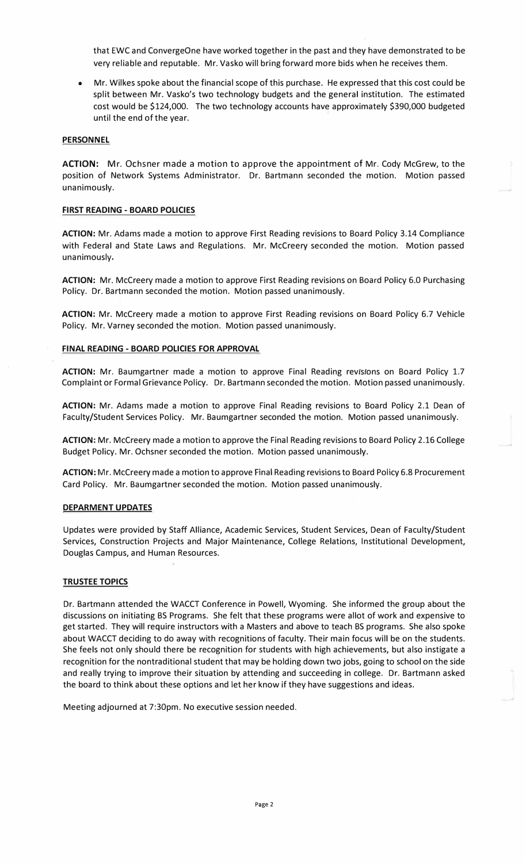that EWC and ConvergeOne have worked together in the past and they have demonstrated to be very reliable and reputable. Mr. Vasko will bring forward more bids when he receives them.

• Mr. Wilkes spoke about the financial scope of this purchase. He expressed that this cost could be split between Mr. Vasko's two technology budgets and the general institution. The estimated cost would be \$124,000. The two technology accounts have approximately \$390,000 budgeted until the end of the year.

## **PERSONNEL**

**ACTION:** Mr. Ochsner made a motion to approve the appointment of Mr. Cody McGrew, to the position of Network Systems Administrator. Dr. Bartmann seconded the motion. Motion passed unanimously.

## **FIRST READING - BOARD POLICIES**

**ACTION:** Mr. Adams made a motion to approve First Reading revisions to Board Policy 3.14 Compliance with Federal and State Laws and Regulations. Mr. Mccreery seconded the motion. Motion passed unanimously.

**ACTION:** Mr. Mccreery made a motion to approve First Reading revisions on Board Policy 6.0 Purchasing Policy. Dr. Bartmann seconded the motion. Motion passed unanimously.

**ACTION:** Mr. Mccreery made a motion to approve First Reading revisions on Board Policy 6.7 Vehicle Policy. Mr. Varney seconded the motion. Motion passed unanimously.

#### **FINAL READING - BOARD POLICIES FOR APPROVAL**

ACTION: Mr. Baumgartner made a motion to approve Final Reading revisions on Board Policy 1.7 Complaint or Formal Grievance Policy. Dr. Bartmann seconded the motion. Motion passed unanimously.

**ACTION:** Mr. Adams made a motion to approve Final Reading revisions to Board Policy 2.1 Dean of Faculty/Student Services Policy. Mr. Baumgartner seconded the motion. Motion passed unanimously.

**ACTION:** Mr. Mccreery made a motion to approve the Final Reading revisions to Board Policy 2.16 College Budget Policy. Mr. Ochsner seconded the motion. Motion passed unanimously.

**ACTION:** Mr. Mccreery made a motion to approve Final Reading revisions to Board Policy 6.8 Procurement Card Policy. Mr. Baumgartner seconded the motion. Motion passed unanimously.

### **DEPARMENT UPDATES**

Updates were provided by Staff Alliance, Academic Services, Student Services, Dean of Faculty/Student Services, Construction Projects and Major Maintenance, College Relations, Institutional Development, Douglas Campus, and Human Resources.

# **TRUSTEE TOPICS**

Dr. Bartmann attended the WACCT Conference in Powell, Wyoming. She informed the group about the discussions on initiating BS Programs. She felt that these programs were allot of work and expensive to get started. They will require instructors with a Masters and above to teach BS programs. She also spoke about WACCT deciding to do away with recognitions of faculty. Their main focus will be on the students. She feels not only should there be recognition for students with high achievements, but also instigate a recognition for the nontraditional student that may be holding down two jobs, going to school on the side and really trying to improve their situation by attending and succeeding in college. Dr. Bartmann asked the board to think about these options and let her know if they have suggestions and ideas.

Meeting adjourned at 7:30pm. No executive session needed.